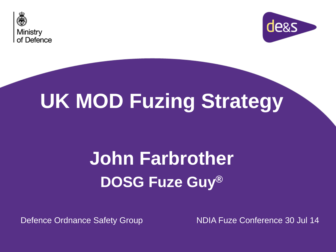



# **UK MOD Fuzing Strategy**

## **John Farbrother DOSG Fuze Guy®**

Defence Ordnance Safety Group NDIA Fuze Conference 30 Jul 14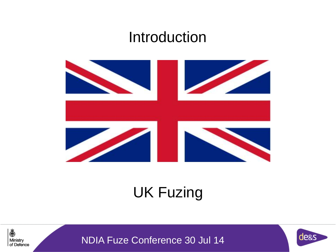#### Introduction



### UK Fuzing



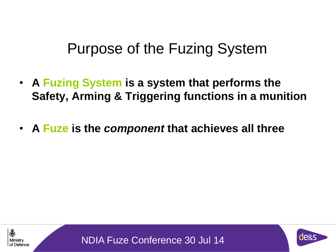### Purpose of the Fuzing System

- **A Fuzing System is a system that performs the Safety, Arming & Triggering functions in a munition**
- **A Fuze is the** *component* **that achieves all three**



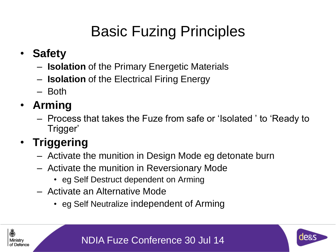### Basic Fuzing Principles

- **Safety**
	- **Isolation** of the Primary Energetic Materials
	- **Isolation** of the Electrical Firing Energy
	- Both
- **Arming**
	- Process that takes the Fuze from safe or 'Isolated ' to 'Ready to Trigger'

#### • **Triggering**

- Activate the munition in Design Mode eg detonate burn
- Activate the munition in Reversionary Mode
	- eg Self Destruct dependent on Arming
- Activate an Alternative Mode
	- eg Self Neutralize independent of Arming





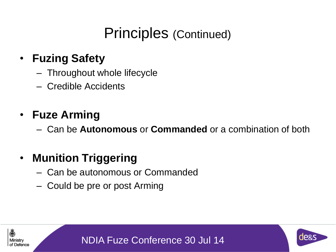### Principles (Continued)

#### • **Fuzing Safety**

- Throughout whole lifecycle
- Credible Accidents

#### • **Fuze Arming**

Defence

– Can be **Autonomous** or **Commanded** or a combination of both

#### • **Munition Triggering**

- Can be autonomous or Commanded
- Could be pre or post Arming



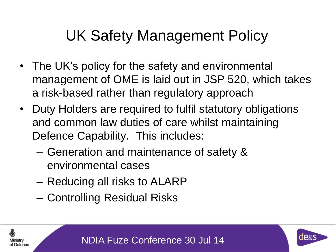### UK Safety Management Policy

- The UK's policy for the safety and environmental management of OME is laid out in JSP 520, which takes a risk-based rather than regulatory approach
- Duty Holders are required to fulfil statutory obligations and common law duties of care whilst maintaining Defence Capability. This includes:
	- Generation and maintenance of safety & environmental cases
	- Reducing all risks to ALARP
	- Controlling Residual Risks



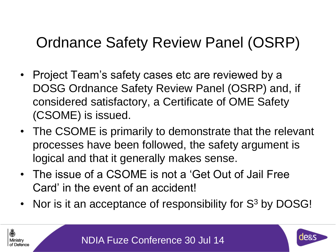### Ordnance Safety Review Panel (OSRP)

- Project Team's safety cases etc are reviewed by a DOSG Ordnance Safety Review Panel (OSRP) and, if considered satisfactory, a Certificate of OME Safety (CSOME) is issued.
- The CSOME is primarily to demonstrate that the relevant processes have been followed, the safety argument is logical and that it generally makes sense.
- The issue of a CSOME is not a 'Get Out of Jail Free Card' in the event of an accident!
- Nor is it an acceptance of responsibility for  $S<sup>3</sup>$  by DOSG!

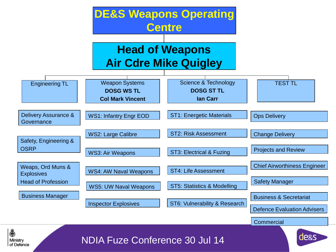

Ministry of Defence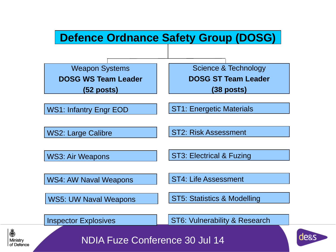#### **Defence Ordnance Safety Group (DOSG)**

Weapon Systems **DOSG WS Team Leader (52 posts)**

Science & Technology

**DOSG ST Team Leader**

**(38 posts)**

WS1: Infantry Engr EOD

WS2: Large Calibre

ST2: Risk Assessment

ST1: Energetic Materials

WS3: Air Weapons

ST3: Electrical & Fuzing

ST4: Life Assessment

WS4: AW Naval Weapons

WS5: UW Naval Weapons

ST5: Statistics & Modelling

Inspector Explosives **ST6: Vulnerability & Research** 





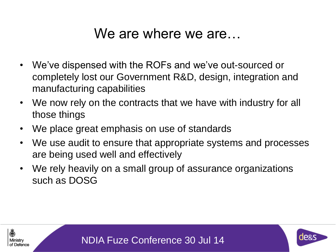#### We are where we are…

- We've dispensed with the ROFs and we've out-sourced or completely lost our Government R&D, design, integration and manufacturing capabilities
- We now rely on the contracts that we have with industry for all those things
- We place great emphasis on use of standards
- We use audit to ensure that appropriate systems and processes are being used well and effectively
- We rely heavily on a small group of assurance organizations such as DOSG





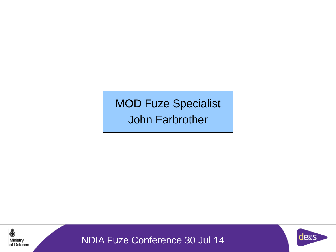MOD Fuze Specialist John Farbrother



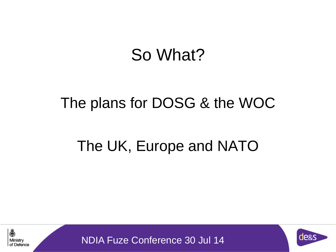## So What?

### The plans for DOSG & the WOC

### The UK, Europe and NATO



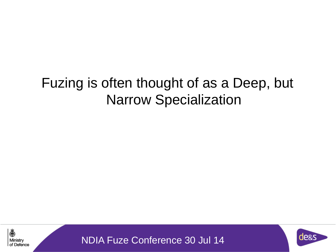### Fuzing is often thought of as a Deep, but Narrow Specialization



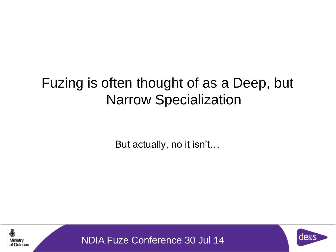### Fuzing is often thought of as a Deep, but Narrow Specialization

But actually, no it isn't…



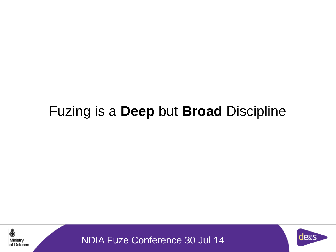### Fuzing is a **Deep** but **Broad** Discipline



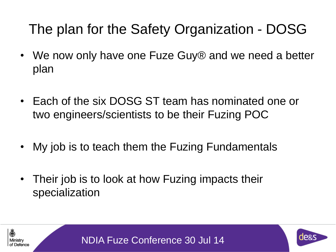### The plan for the Safety Organization - DOSG

- We now only have one Fuze Guy® and we need a better plan
- Each of the six DOSG ST team has nominated one or two engineers/scientists to be their Fuzing POC
- My job is to teach them the Fuzing Fundamentals
- Their job is to look at how Fuzing impacts their specialization





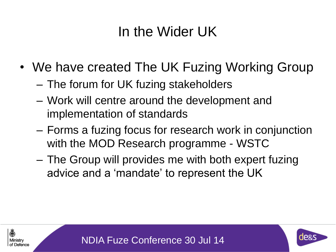### In the Wider UK

- We have created The UK Fuzing Working Group
	- The forum for UK fuzing stakeholders
	- Work will centre around the development and implementation of standards
	- Forms a fuzing focus for research work in conjunction with the MOD Research programme - WSTC
	- The Group will provides me with both expert fuzing advice and a 'mandate' to represent the UK





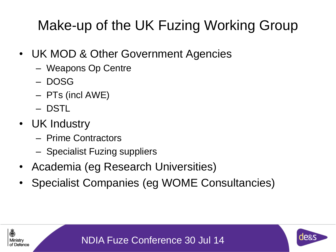### Make-up of the UK Fuzing Working Group

- UK MOD & Other Government Agencies
	- Weapons Op Centre
	- DOSG
	- PTs (incl AWE)
	- DSTL
- UK Industry

4

: Defence

- Prime Contractors
- Specialist Fuzing suppliers
- Academia (eg Research Universities)
- Specialist Companies (eg WOME Consultancies)

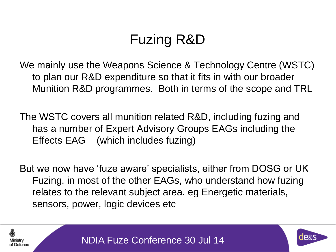### Fuzing R&D

We mainly use the Weapons Science & Technology Centre (WSTC) to plan our R&D expenditure so that it fits in with our broader Munition R&D programmes. Both in terms of the scope and TRL

The WSTC covers all munition related R&D, including fuzing and has a number of Expert Advisory Groups EAGs including the Effects EAG (which includes fuzing)

But we now have 'fuze aware' specialists, either from DOSG or UK Fuzing, in most of the other EAGs, who understand how fuzing relates to the relevant subject area. eg Energetic materials, sensors, power, logic devices etc



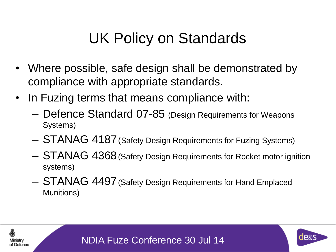### UK Policy on Standards

- Where possible, safe design shall be demonstrated by compliance with appropriate standards.
- In Fuzing terms that means compliance with:
	- Defence Standard 07-85 (Design Requirements for Weapons Systems)
	- STANAG 4187(Safety Design Requirements for Fuzing Systems)
	- STANAG 4368(Safety Design Requirements for Rocket motor ignition systems)
	- STANAG 4497(Safety Design Requirements for Hand Emplaced Munitions)





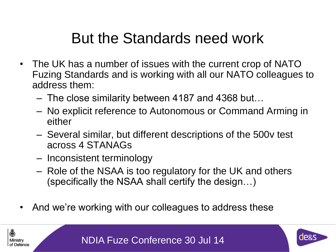### But the Standards need work

- The UK has a number of issues with the current crop of NATO Fuzing Standards and is working with all our NATO colleagues to address them:
	- The close similarity between 4187 and 4368 but…
	- No explicit reference to Autonomous or Command Arming in either
	- Several similar, but different descriptions of the 500v test across 4 STANAGs
	- Inconsistent terminology
	- Role of the NSAA is too regulatory for the UK and others (specifically the NSAA shall certify the design…)
- And we're working with our colleagues to address these

屬